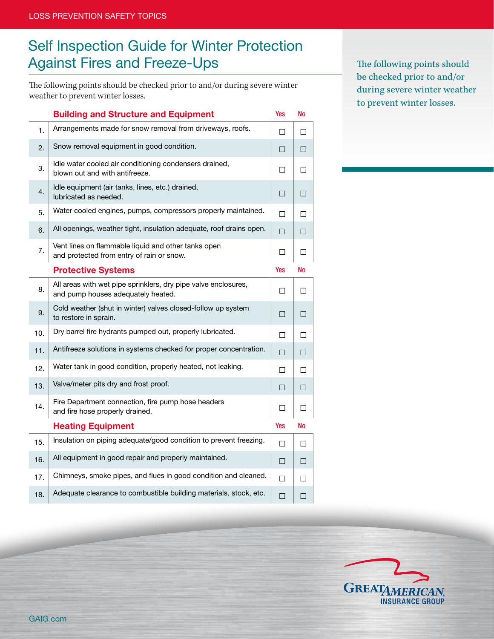## Self Inspection Guide for Winter Protection Against Fires and Freeze-Ups

The following points should be checked prior to and/or during severe winter weather to prevent winter losses.

Building and Structure and Equipment Yes No 1. Arrangements made for snow removal from driveways, roofs.  $\Box$ 2. Snow removal equipment in good condition.  $\Box$ 3. Idle water cooled air conditioning condensers drained, blown out and with antifreeze.  $\Box$ 4. **Idle equipment (air tanks, lines, etc.) drained,** lubricated as needed.  $\Box$ 5. Water cooled engines, pumps, compressors properly maintained.  $\Box$ 6. All openings, weather tight, insulation adequate, roof drains open.  $\Box$ 7. Vent lines on flammable liquid and other tanks open and protected from entry of rain or snow.  $\Box$ **Protective Systems** The Test of Test 2012 and Test 2013 and Test 2013 and Test 2013 8. All areas with wet pipe sprinklers, dry pipe valve enclosures, and pump houses adequately heated.  $\Box$ 9. Cold weather (shut in winter) valves closed-follow up system  $\Box$   $\Box$ 10. Dry barrel fire hydrants pumped out, properly lubricated.  $\Box$ 11. Antifreeze solutions in systems checked for proper concentration.  $\Box$ 12. Water tank in good condition, properly heated, not leaking.  $\Box$ 13. Valve/meter pits dry and frost proof.  $\Box$ 14. Fire Department connection, fire pump hose headers and fire hose properly drained.  $\Box$ Heating Equipment The Contract of the Manuscript of the Ves No. 15. Insulation on piping adequate/good condition to prevent freezing.  $\Box$ 16. All equipment in good repair and properly maintained.  $\Box$ 17. Chimneys, smoke pipes, and flues in good condition and cleaned.  $\Box$ 18. Adequate clearance to combustible building materials, stock, etc.  $\Box$  The following points should be checked prior to and/or during severe winter weather to prevent winter losses.